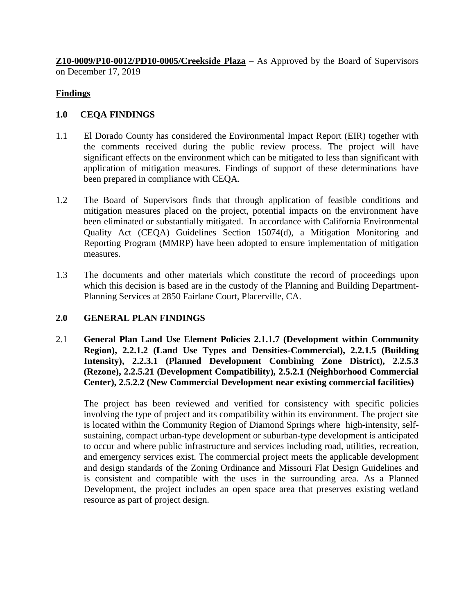**Z10-0009/P10-0012/PD10-0005/Creekside Plaza** – As Approved by the Board of Supervisors on December 17, 2019

# **Findings**

## **1.0 CEQA FINDINGS**

- 1.1 El Dorado County has considered the Environmental Impact Report (EIR) together with the comments received during the public review process. The project will have significant effects on the environment which can be mitigated to less than significant with application of mitigation measures. Findings of support of these determinations have been prepared in compliance with CEQA.
- 1.2 The Board of Supervisors finds that through application of feasible conditions and mitigation measures placed on the project, potential impacts on the environment have been eliminated or substantially mitigated. In accordance with California Environmental Quality Act (CEQA) Guidelines Section 15074(d), a Mitigation Monitoring and Reporting Program (MMRP) have been adopted to ensure implementation of mitigation measures.
- 1.3 The documents and other materials which constitute the record of proceedings upon which this decision is based are in the custody of the Planning and Building Department-Planning Services at 2850 Fairlane Court, Placerville, CA.

### **2.0 GENERAL PLAN FINDINGS**

2.1 **General Plan Land Use Element Policies 2.1.1.7 (Development within Community Region), 2.2.1.2 (Land Use Types and Densities-Commercial), 2.2.1.5 (Building Intensity), 2.2.3.1 (Planned Development Combining Zone District), 2.2.5.3 (Rezone), 2.2.5.21 (Development Compatibility), 2.5.2.1 (Neighborhood Commercial Center), 2.5.2.2 (New Commercial Development near existing commercial facilities)**

The project has been reviewed and verified for consistency with specific policies involving the type of project and its compatibility within its environment. The project site is located within the Community Region of Diamond Springs where high-intensity, selfsustaining, compact urban-type development or suburban-type development is anticipated to occur and where public infrastructure and services including road, utilities, recreation, and emergency services exist. The commercial project meets the applicable development and design standards of the Zoning Ordinance and Missouri Flat Design Guidelines and is consistent and compatible with the uses in the surrounding area. As a Planned Development, the project includes an open space area that preserves existing wetland resource as part of project design.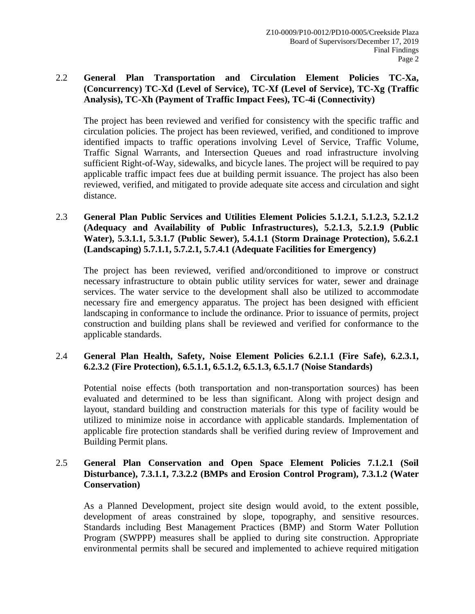## 2.2 **General Plan Transportation and Circulation Element Policies TC-Xa, (Concurrency) TC-Xd (Level of Service), TC-Xf (Level of Service), TC-Xg (Traffic Analysis), TC-Xh (Payment of Traffic Impact Fees), TC-4i (Connectivity)**

The project has been reviewed and verified for consistency with the specific traffic and circulation policies. The project has been reviewed, verified, and conditioned to improve identified impacts to traffic operations involving Level of Service, Traffic Volume, Traffic Signal Warrants, and Intersection Queues and road infrastructure involving sufficient Right-of-Way, sidewalks, and bicycle lanes. The project will be required to pay applicable traffic impact fees due at building permit issuance. The project has also been reviewed, verified, and mitigated to provide adequate site access and circulation and sight distance.

2.3 **General Plan Public Services and Utilities Element Policies 5.1.2.1, 5.1.2.3, 5.2.1.2 (Adequacy and Availability of Public Infrastructures), 5.2.1.3, 5.2.1.9 (Public Water), 5.3.1.1, 5.3.1.7 (Public Sewer), 5.4.1.1 (Storm Drainage Protection), 5.6.2.1 (Landscaping) 5.7.1.1, 5.7.2.1, 5.7.4.1 (Adequate Facilities for Emergency)**

The project has been reviewed, verified and/orconditioned to improve or construct necessary infrastructure to obtain public utility services for water, sewer and drainage services. The water service to the development shall also be utilized to accommodate necessary fire and emergency apparatus. The project has been designed with efficient landscaping in conformance to include the ordinance. Prior to issuance of permits, project construction and building plans shall be reviewed and verified for conformance to the applicable standards.

### 2.4 **General Plan Health, Safety, Noise Element Policies 6.2.1.1 (Fire Safe), 6.2.3.1, 6.2.3.2 (Fire Protection), 6.5.1.1, 6.5.1.2, 6.5.1.3, 6.5.1.7 (Noise Standards)**

Potential noise effects (both transportation and non-transportation sources) has been evaluated and determined to be less than significant. Along with project design and layout, standard building and construction materials for this type of facility would be utilized to minimize noise in accordance with applicable standards. Implementation of applicable fire protection standards shall be verified during review of Improvement and Building Permit plans.

### 2.5 **General Plan Conservation and Open Space Element Policies 7.1.2.1 (Soil Disturbance), 7.3.1.1, 7.3.2.2 (BMPs and Erosion Control Program), 7.3.1.2 (Water Conservation)**

As a Planned Development, project site design would avoid, to the extent possible, development of areas constrained by slope, topography, and sensitive resources. Standards including Best Management Practices (BMP) and Storm Water Pollution Program (SWPPP) measures shall be applied to during site construction. Appropriate environmental permits shall be secured and implemented to achieve required mitigation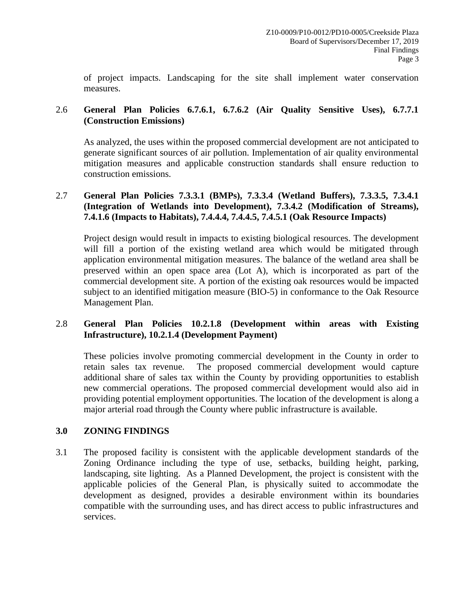of project impacts. Landscaping for the site shall implement water conservation measures.

## 2.6 **General Plan Policies 6.7.6.1, 6.7.6.2 (Air Quality Sensitive Uses), 6.7.7.1 (Construction Emissions)**

As analyzed, the uses within the proposed commercial development are not anticipated to generate significant sources of air pollution. Implementation of air quality environmental mitigation measures and applicable construction standards shall ensure reduction to construction emissions.

## 2.7 **General Plan Policies 7.3.3.1 (BMPs), 7.3.3.4 (Wetland Buffers), 7.3.3.5, 7.3.4.1 (Integration of Wetlands into Development), 7.3.4.2 (Modification of Streams), 7.4.1.6 (Impacts to Habitats), 7.4.4.4, 7.4.4.5, 7.4.5.1 (Oak Resource Impacts)**

Project design would result in impacts to existing biological resources. The development will fill a portion of the existing wetland area which would be mitigated through application environmental mitigation measures. The balance of the wetland area shall be preserved within an open space area (Lot A), which is incorporated as part of the commercial development site. A portion of the existing oak resources would be impacted subject to an identified mitigation measure (BIO-5) in conformance to the Oak Resource Management Plan.

## 2.8 **General Plan Policies 10.2.1.8 (Development within areas with Existing Infrastructure), 10.2.1.4 (Development Payment)**

These policies involve promoting commercial development in the County in order to retain sales tax revenue. The proposed commercial development would capture additional share of sales tax within the County by providing opportunities to establish new commercial operations. The proposed commercial development would also aid in providing potential employment opportunities. The location of the development is along a major arterial road through the County where public infrastructure is available.

### **3.0 ZONING FINDINGS**

3.1 The proposed facility is consistent with the applicable development standards of the Zoning Ordinance including the type of use, setbacks, building height, parking, landscaping, site lighting. As a Planned Development, the project is consistent with the applicable policies of the General Plan, is physically suited to accommodate the development as designed, provides a desirable environment within its boundaries compatible with the surrounding uses, and has direct access to public infrastructures and services.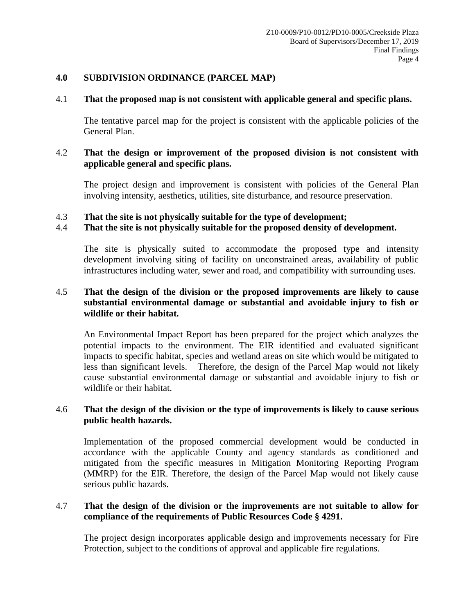#### **4.0 SUBDIVISION ORDINANCE (PARCEL MAP)**

#### 4.1 **That the proposed map is not consistent with applicable general and specific plans.**

The tentative parcel map for the project is consistent with the applicable policies of the General Plan.

### 4.2 **That the design or improvement of the proposed division is not consistent with applicable general and specific plans.**

The project design and improvement is consistent with policies of the General Plan involving intensity, aesthetics, utilities, site disturbance, and resource preservation.

### 4.3 **That the site is not physically suitable for the type of development;**

### 4.4 **That the site is not physically suitable for the proposed density of development.**

The site is physically suited to accommodate the proposed type and intensity development involving siting of facility on unconstrained areas, availability of public infrastructures including water, sewer and road, and compatibility with surrounding uses.

### 4.5 **That the design of the division or the proposed improvements are likely to cause substantial environmental damage or substantial and avoidable injury to fish or wildlife or their habitat.**

An Environmental Impact Report has been prepared for the project which analyzes the potential impacts to the environment. The EIR identified and evaluated significant impacts to specific habitat, species and wetland areas on site which would be mitigated to less than significant levels. Therefore, the design of the Parcel Map would not likely cause substantial environmental damage or substantial and avoidable injury to fish or wildlife or their habitat.

### 4.6 **That the design of the division or the type of improvements is likely to cause serious public health hazards.**

Implementation of the proposed commercial development would be conducted in accordance with the applicable County and agency standards as conditioned and mitigated from the specific measures in Mitigation Monitoring Reporting Program (MMRP) for the EIR. Therefore, the design of the Parcel Map would not likely cause serious public hazards.

### 4.7 **That the design of the division or the improvements are not suitable to allow for compliance of the requirements of Public Resources Code § 4291.**

The project design incorporates applicable design and improvements necessary for Fire Protection, subject to the conditions of approval and applicable fire regulations.